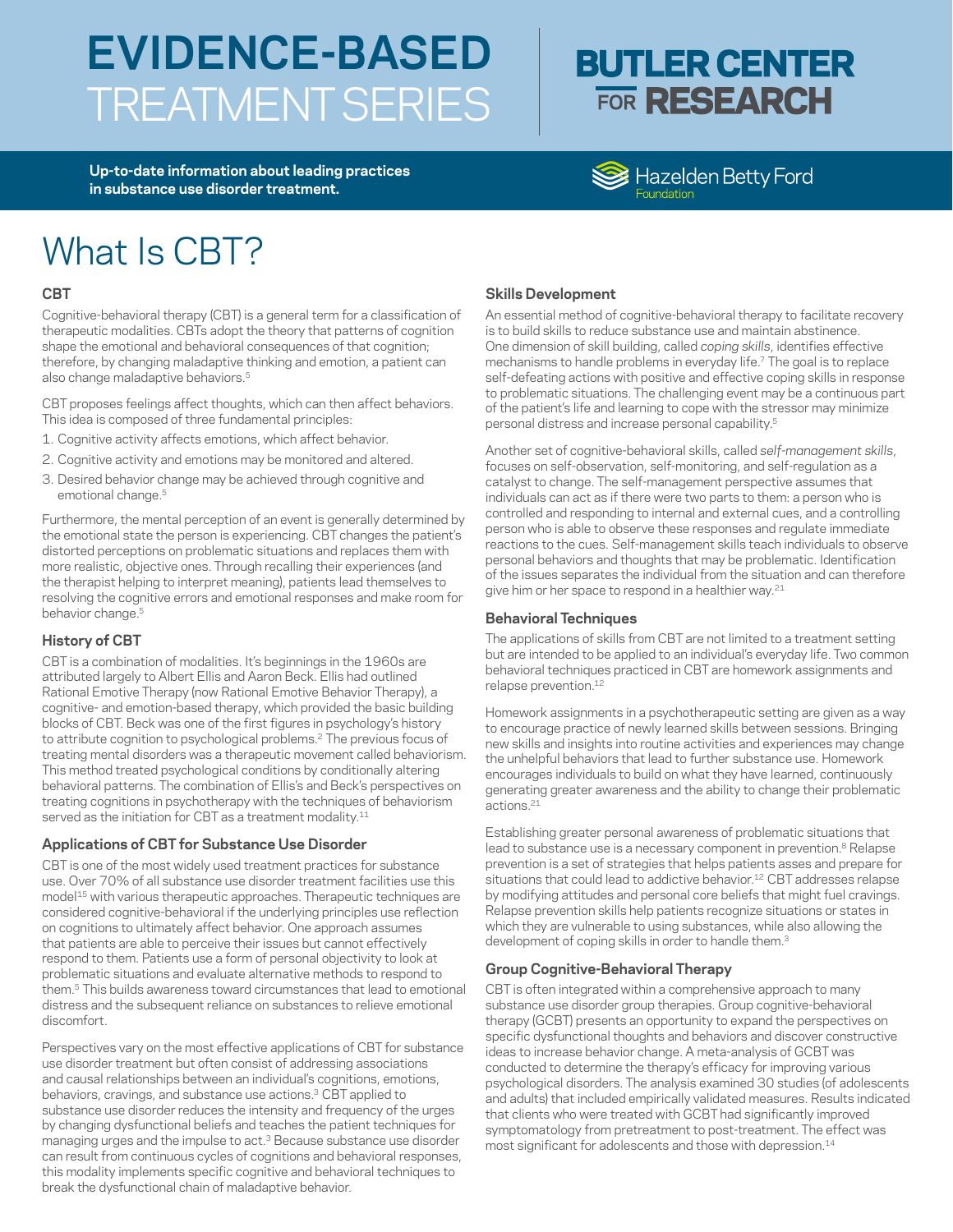# **EVIDENCE-BASED**  TREATMENT SERIES

## **BUTLER CENTER FOR RESEARCH**

**Up-to-date information about leading practices in substance use disorder treatment.**

### Hazelden Betty Ford

## What Is CBT?

#### **CBT**

Cognitive-behavioral therapy (CBT) is a general term for a classification of therapeutic modalities. CBTs adopt the theory that patterns of cognition shape the emotional and behavioral consequences of that cognition; therefore, by changing maladaptive thinking and emotion, a patient can also change maladaptive behaviors.<sup>5</sup>

CBT proposes feelings affect thoughts, which can then affect behaviors. This idea is composed of three fundamental principles:

- 1. Cognitive activity affects emotions, which affect behavior.
- 2. Cognitive activity and emotions may be monitored and altered.
- 3. Desired behavior change may be achieved through cognitive and emotional change.<sup>5</sup>

Furthermore, the mental perception of an event is generally determined by the emotional state the person is experiencing. CBT changes the patient's distorted perceptions on problematic situations and replaces them with more realistic, objective ones. Through recalling their experiences (and the therapist helping to interpret meaning), patients lead themselves to resolving the cognitive errors and emotional responses and make room for behavior change.<sup>5</sup>

#### **History of CBT**

CBT is a combination of modalities. It's beginnings in the 1960s are attributed largely to Albert Ellis and Aaron Beck. Ellis had outlined Rational Emotive Therapy (now Rational Emotive Behavior Therapy), a cognitive- and emotion-based therapy, which provided the basic building blocks of CBT. Beck was one of the first figures in psychology's history to attribute cognition to psychological problems.2 The previous focus of treating mental disorders was a therapeutic movement called behaviorism. This method treated psychological conditions by conditionally altering behavioral patterns. The combination of Ellis's and Beck's perspectives on treating cognitions in psychotherapy with the techniques of behaviorism served as the initiation for CBT as a treatment modality.<sup>11</sup>

#### **Applications of CBT for Substance Use Disorder**

CBT is one of the most widely used treatment practices for substance use. Over 70% of all substance use disorder treatment facilities use this model<sup>15</sup> with various therapeutic approaches. Therapeutic techniques are considered cognitive-behavioral if the underlying principles use reflection on cognitions to ultimately affect behavior. One approach assumes that patients are able to perceive their issues but cannot effectively respond to them. Patients use a form of personal objectivity to look at problematic situations and evaluate alternative methods to respond to them.5 This builds awareness toward circumstances that lead to emotional distress and the subsequent reliance on substances to relieve emotional discomfort.

Perspectives vary on the most effective applications of CBT for substance use disorder treatment but often consist of addressing associations and causal relationships between an individual's cognitions, emotions, behaviors, cravings, and substance use actions.<sup>3</sup> CBT applied to substance use disorder reduces the intensity and frequency of the urges by changing dysfunctional beliefs and teaches the patient techniques for managing urges and the impulse to act.<sup>3</sup> Because substance use disorder can result from continuous cycles of cognitions and behavioral responses, this modality implements specific cognitive and behavioral techniques to break the dysfunctional chain of maladaptive behavior.

#### **Skills Development**

An essential method of cognitive-behavioral therapy to facilitate recovery is to build skills to reduce substance use and maintain abstinence. One dimension of skill building, called *coping skills*, identifies effective mechanisms to handle problems in everyday life.<sup>7</sup> The goal is to replace self-defeating actions with positive and effective coping skills in response to problematic situations. The challenging event may be a continuous part of the patient's life and learning to cope with the stressor may minimize personal distress and increase personal capability.5

Another set of cognitive-behavioral skills, called *self-management skills*, focuses on self-observation, self-monitoring, and self-regulation as a catalyst to change. The self-management perspective assumes that individuals can act as if there were two parts to them: a person who is controlled and responding to internal and external cues, and a controlling person who is able to observe these responses and regulate immediate reactions to the cues. Self-management skills teach individuals to observe personal behaviors and thoughts that may be problematic. Identification of the issues separates the individual from the situation and can therefore give him or her space to respond in a healthier way.<sup>21</sup>

#### **Behavioral Techniques**

The applications of skills from CBT are not limited to a treatment setting but are intended to be applied to an individual's everyday life. Two common behavioral techniques practiced in CBT are homework assignments and relapse prevention.<sup>12</sup>

Homework assignments in a psychotherapeutic setting are given as a way to encourage practice of newly learned skills between sessions. Bringing new skills and insights into routine activities and experiences may change the unhelpful behaviors that lead to further substance use. Homework encourages individuals to build on what they have learned, continuously generating greater awareness and the ability to change their problematic actions.21

Establishing greater personal awareness of problematic situations that lead to substance use is a necessary component in prevention.<sup>8</sup> Relapse prevention is a set of strategies that helps patients asses and prepare for situations that could lead to addictive behavior.<sup>12</sup> CBT addresses relapse by modifying attitudes and personal core beliefs that might fuel cravings. Relapse prevention skills help patients recognize situations or states in which they are vulnerable to using substances, while also allowing the development of coping skills in order to handle them.<sup>3</sup>

#### **Group Cognitive-Behavioral Therapy**

CBT is often integrated within a comprehensive approach to many substance use disorder group therapies. Group cognitive-behavioral therapy (GCBT) presents an opportunity to expand the perspectives on specific dysfunctional thoughts and behaviors and discover constructive ideas to increase behavior change. A meta-analysis of GCBT was conducted to determine the therapy's efficacy for improving various psychological disorders. The analysis examined 30 studies (of adolescents and adults) that included empirically validated measures. Results indicated that clients who were treated with GCBT had significantly improved symptomatology from pretreatment to post-treatment. The effect was most significant for adolescents and those with depression.<sup>14</sup>